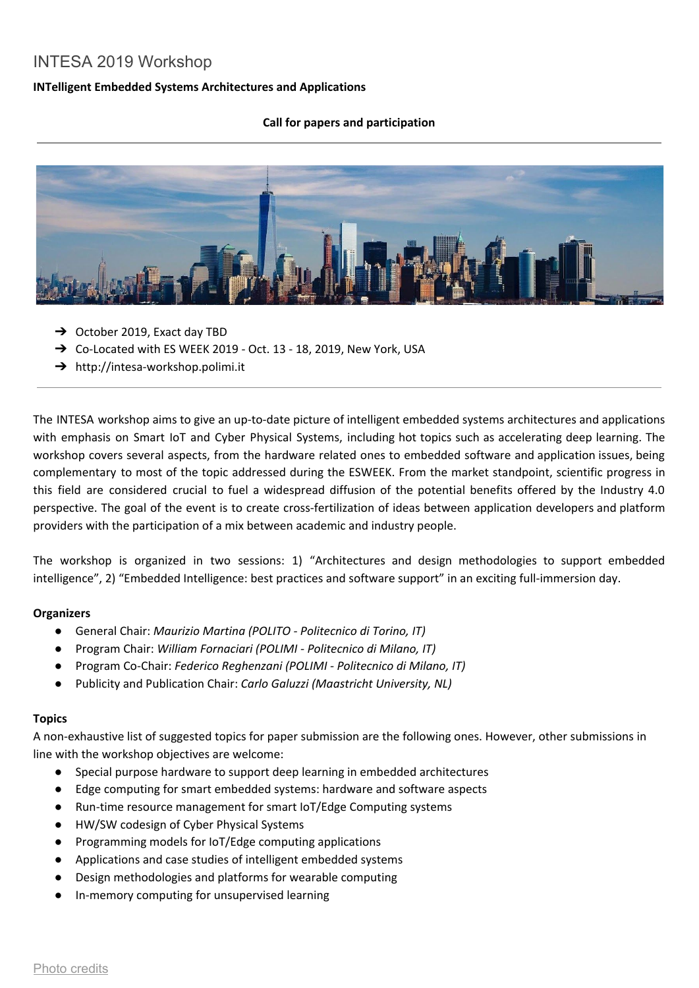# INTESA 2019 Workshop

## **INTelligent Embedded Systems Architectures and Applications**

### **Call for papers and participation**



- ➔ October 2019, Exact day TBD
- → Co-Located with ES WEEK 2019 Oct. 13 18, 2019, New York, USA
- ➔ http://intesa-workshop.polimi.it

The INTESA workshop aims to give an up-to-date picture of intelligent embedded systems architectures and applications with emphasis on Smart IoT and Cyber Physical Systems, including hot topics such as accelerating deep learning. The workshop covers several aspects, from the hardware related ones to embedded software and application issues, being complementary to most of the topic addressed during the ESWEEK. From the market standpoint, scientific progress in this field are considered crucial to fuel a widespread diffusion of the potential benefits offered by the Industry 4.0 perspective. The goal of the event is to create cross-fertilization of ideas between application developers and platform providers with the participation of a mix between academic and industry people.

The workshop is organized in two sessions: 1) "Architectures and design methodologies to support embedded intelligence", 2) "Embedded Intelligence: best practices and software support" in an exciting full-immersion day.

#### **Organizers**

- General Chair: *Maurizio Martina (POLITO - Politecnico di Torino, IT)*
- Program Chair: *William Fornaciari (POLIMI - Politecnico di Milano, IT)*
- Program Co-Chair: *Federico Reghenzani (POLIMI - Politecnico di Milano, IT)*
- Publicity and Publication Chair: *Carlo Galuzzi (Maastricht University, NL)*

#### **Topics**

A non-exhaustive list of suggested topics for paper submission are the following ones. However, other submissions in line with the workshop objectives are welcome:

- Special purpose hardware to support deep learning in embedded architectures
- Edge computing for smart embedded systems: hardware and software aspects
- Run-time resource management for smart IoT/Edge Computing systems
- HW/SW codesign of Cyber Physical Systems
- Programming models for IoT/Edge computing applications
- Applications and case studies of intelligent embedded systems
- Design methodologies and platforms for wearable computing
- In-memory computing for unsupervised learning